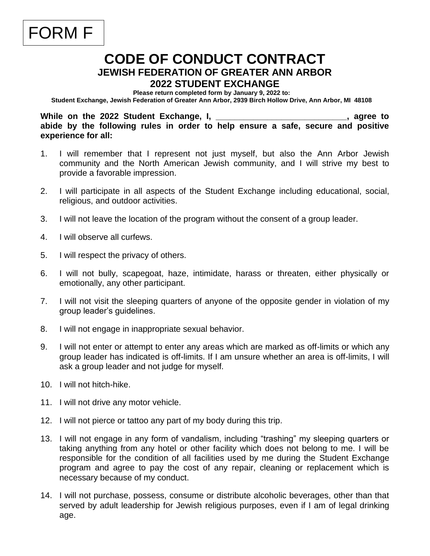## **CODE OF CONDUCT CONTRACT JEWISH FEDERATION OF GREATER ANN ARBOR 2022 STUDENT EXCHANGE**

**Please return completed form by January 9, 2022 to:** 

**Student Exchange, Jewish Federation of Greater Ann Arbor, 2939 Birch Hollow Drive, Ann Arbor, MI 48108**

While on the 2022 Student Exchange, I, the same of the student student in the student student in the student student in the student student in the student student in the student student in the student student student stude **abide by the following rules in order to help ensure a safe, secure and positive experience for all:**

- 1. I will remember that I represent not just myself, but also the Ann Arbor Jewish community and the North American Jewish community, and I will strive my best to provide a favorable impression.
- 2. I will participate in all aspects of the Student Exchange including educational, social, religious, and outdoor activities.
- 3. I will not leave the location of the program without the consent of a group leader.
- 4. I will observe all curfews.

FORM F

- 5. I will respect the privacy of others.
- 6. I will not bully, scapegoat, haze, intimidate, harass or threaten, either physically or emotionally, any other participant.
- 7. I will not visit the sleeping quarters of anyone of the opposite gender in violation of my group leader's guidelines.
- 8. I will not engage in inappropriate sexual behavior.
- 9. I will not enter or attempt to enter any areas which are marked as off-limits or which any group leader has indicated is off-limits. If I am unsure whether an area is off-limits, I will ask a group leader and not judge for myself.
- 10. I will not hitch-hike.
- 11. I will not drive any motor vehicle.
- 12. I will not pierce or tattoo any part of my body during this trip.
- 13. I will not engage in any form of vandalism, including "trashing" my sleeping quarters or taking anything from any hotel or other facility which does not belong to me. I will be responsible for the condition of all facilities used by me during the Student Exchange program and agree to pay the cost of any repair, cleaning or replacement which is necessary because of my conduct.
- 14. I will not purchase, possess, consume or distribute alcoholic beverages, other than that served by adult leadership for Jewish religious purposes, even if I am of legal drinking age.